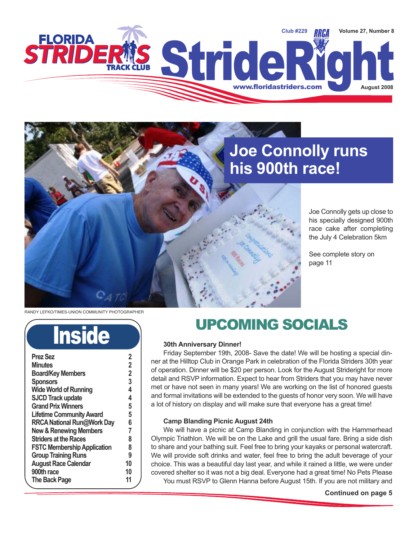

### **Joe Connolly runs his 900th race!**

Joe Connolly gets up close to his specially designed 900th race cake after completing the July 4 Celebration 5km

See complete story on page 11

RANDY LEFKO/TIMES-UNION COMMUNITY PHOTOGRAPHER

# **Inside**

| <b>Prez Sez</b>                    | 2              |
|------------------------------------|----------------|
| <b>Minutes</b>                     | 2              |
| <b>Board/Key Members</b>           | $\overline{2}$ |
| <b>Sponsors</b>                    | 3              |
| <b>Wide World of Running</b>       | 4              |
| <b>SJCD Track update</b>           | 4              |
| <b>Grand Prix Winners</b>          | 5              |
| <b>Lifetime Community Award</b>    | 5              |
| <b>RRCA National Run@Work Day</b>  | 6              |
| <b>New &amp; Renewing Members</b>  | 7              |
| <b>Striders at the Races</b>       | 8              |
| <b>FSTC Membership Application</b> | 8              |
| <b>Group Training Runs</b>         | 9              |
| <b>August Race Calendar</b>        | 10             |
| 900th race                         | 10             |
| The Back Page                      | 11             |
|                                    |                |

### UPCOMING SOCIALS

#### **30th Anniversary Dinner!**

Friday September 19th, 2008- Save the date! We will be hosting a special dinner at the Hilltop Club in Orange Park in celebration of the Florida Striders 30th year of operation. Dinner will be \$20 per person. Look for the August Strideright for more detail and RSVP information. Expect to hear from Striders that you may have never met or have not seen in many years! We are working on the list of honored guests and formal invitations will be extended to the guests of honor very soon. We will have a lot of history on display and will make sure that everyone has a great time!

#### **Camp Blanding Picnic August 24th**

We will have a picnic at Camp Blanding in conjunction with the Hammerhead Olympic Triathlon. We will be on the Lake and grill the usual fare. Bring a side dish to share and your bathing suit. Feel free to bring your kayaks or personal watercraft. We will provide soft drinks and water, feel free to bring the adult beverage of your choice. This was a beautiful day last year, and while it rained a little, we were under covered shelter so it was not a big deal. Everyone had a great time! No Pets Please You must RSVP to Glenn Hanna before August 15th. If you are not military and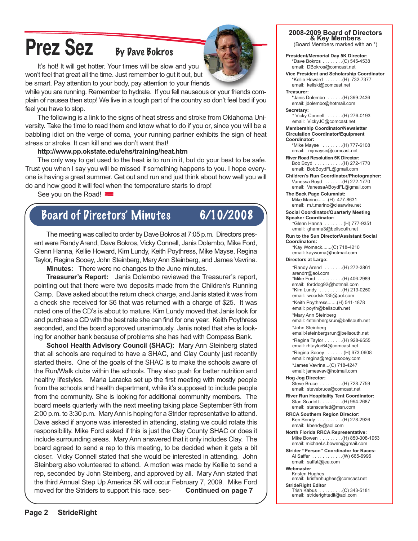# **Prez Sez** By Dave Bokros

It's hot! It will get hotter. Your times will be slow and you won't feel that great all the time. Just remember to gut it out, but be smart. Pay attention to your body, pay attention to your friends

while you are running. Remember to hydrate. If you fell nauseous or your friends complain of nausea then stop! We live in a tough part of the country so don't feel bad if you feel you have to stop.

The following is a link to the signs of heat stress and stroke from Oklahoma University. Take the time to read them and know what to do if you or, since you will be a babbling idiot on the verge of coma, your running partner exhibits the sign of heat stress or stroke. It can kill and we don't want that!

#### **http://www.pp.okstate.edu/ehs/training/heat.htm**

The only way to get used to the heat is to run in it, but do your best to be safe. Trust you when I say you will be missed if something happens to you. I hope everyone is having a great summer. Get out and run and just think about how well you will do and how good it will feel when the temperature starts to drop!

See you on the Road!

### Board of Directors' Minutes 6/10/2008

The meeting was called to order by Dave Bokros at 7:05 p.m. Directors present were Randy Arend, Dave Bokros, Vicky Connell, Janis Dolembo, Mike Ford, Glenn Hanna, Kellie Howard, Kim Lundy, Keith Poythress, Mike Mayse, Regina Taylor, Regina Sooey, John Steinberg, Mary Ann Steinberg, and James Vavrina.

**Minutes:** There were no changes to the June minutes.

**Treasurer's Report:** Janis Dolembo reviewed the Treasurer's report, pointing out that there were two deposits made from the Children's Running Camp. Dave asked about the return check charge, and Janis stated it was from a check she received for \$6 that was returned with a charge of \$25. It was noted one of the CD's is about to mature. Kim Lundy moved that Janis look for and purchase a CD with the best rate she can find for one year. Keith Poythress seconded, and the board approved unanimously. Janis noted that she is looking for another bank because of problems she has had with Compass Bank.

**School Health Advisory Council (SHAC):** Mary Ann Steinberg stated that all schools are required to have a SHAC, and Clay County just recently started theirs. One of the goals of the SHAC is to make the schools aware of the Run/Walk clubs within the schools. They also push for better nutrition and healthy lifestyles. Maria Laracka set up the first meeting with mostly people from the schools and health department, while it's supposed to include people from the community. She is looking for additional community members. The board meets quarterly with the next meeting taking place September 9th from 2:00 p.m. to 3:30 p.m. MaryAnn is hoping for a Strider representative to attend. Dave asked if anyone was interested in attending, stating we could rotate this responsibility. Mike Ford asked if this is just the Clay County SHAC or does it include surrounding areas. Mary Ann answered that it only includes Clay. The board agreed to send a rep to this meeting, to be decided when it gets a bit closer. Vicky Connell stated that she would be interested in attending. John Steinberg also volunteered to attend. A motion was made by Kellie to send a rep, seconded by John Steinberg, and approved by all. Mary Ann stated that the third Annual Step Up America 5K will occur February 7, 2009. Mike Ford moved for the Striders to support this race, sec- **Continued on page 7**

**President/Memorial Day 5K Director:** \*Dave Bokros . . . . . . . .(C) 545-4538 email: DBokros@comcast.net

**Vice President and Scholarship Coordinator** \*Kellie Howard . . . . . . .(H) 732-7377 email: kellski@comcast.net

**Treasurer: \***Janis Dolembo . . . . . .(H) 399-2436 email: jdolembo@hotmail.com

**Secretary:** \* Vicky Connell . . . . . .(H) 276-0193 email: VickyJC@comcast.net

**Membership Coordinator/Newsletter Circulation Coordinator/Equipment**

**Coordinator:** \*Mike Mayse . . . . . . . .(H) 777-6108

email: mjmayse@comcast.net **River Road Resolution 5K Director:**

Bob Boyd . . . . . . . . . . .(H) 272-1770 email: BobBoydFL@gmail.com

**Children's Run Coordinator/Photographer:** Vanessa Boyd . . . . . . .(H) 272-1770 email: VanessaABoydFL@gmail.com

**The Back Page Columnist:** Mike Marino........(H) 477-8631 email: m.t.marino@clearwire.net

**Social Coordinator/Quarterly Meeting Speaker Coordinator:**

\*Glenn Hanna . . . . . . . (H) 777-9351 email: ghanna3@bellsouth.net

**Run to the Sun Director/Assistant Social Coordinators:**

\*Kay Womack.......(C) 718-4210 email: kaywoma@hotmail.com

**Directors at Large:**

\*Randy Arend . . . . . . .(H) 272-3861 arendrr@aol.com \*Mike Ford . . . . . . . . . .(H) 406-2989 email: forddog92@hotmail.com \*Kim Lundy . . . . . . . . .(H) 213-0250 email: woodski135@aol.com \*Keith Poythress.......(H) 541-1878 email: poyth@bellsouth.net \*Mary Ann Steinberg email: 4steinbergsrun@bellsouth.net \*John Steinberg email:4steinbergsrun@bellsouth.net \*Regina Taylor . . . . . . .(H) 928-9555 email: rhtaylor64@comcast.net \*Regina Sooey . . . . . . (H) 673-0608 email: regina@reginasooey.com \*James Vavrina...(C) 718-4247 email: jamesvav@hotmail.com

**Hog Jog Director:** Steve Bruce . . . . . . . . .(H) 728-7759 email: stevebruce@comcast.net

**River Run Hospitality Tent Coordinator:** Stan Scarlett . . . . . . . . .(H) 994-2687 email: stanscarlett@msn.com

**RRCA Southern Region Director:** Ken Bendy . . . . . . . . . .(H) 278-2926 email: kbendy@aol.com

**North Florida RRCA Representative:** Mike Bowen . . . . . . . . . . . (H) 850-308-1953 email: michael.s.bowen@gmail.com

**Strider "Person" Coordinator for Races:** Al Saffer . . . . . . . . . . . .(W) 665-6996 email: saffat@jea.com

**Webmaster**

Kristen Hughes email: kristenhughes@comcast.net

**StrideRight Editor**

 $.$  . .(C) 343-5181 email: striderightedit@aol.com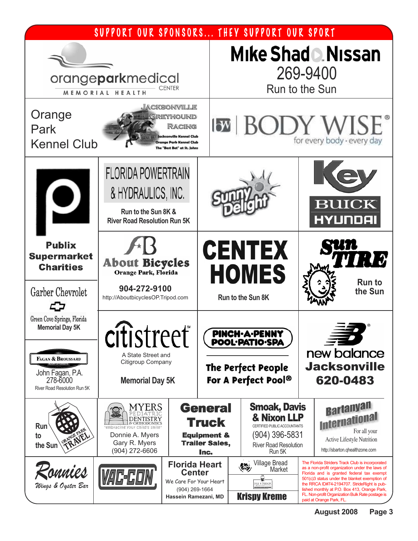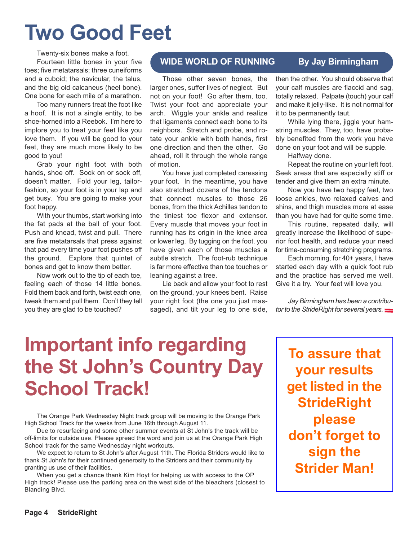# **Two Good Feet**

Twenty-six bones make a foot. Fourteen little bones in your five toes; five metatarsals; three cuneiforms and a cuboid; the navicular, the talus, and the big old calcaneus (heel bone). One bone for each mile of a marathon.

Too many runners treat the foot like a hoof. It is not a single entity, to be shoe-horned into a Reebok. I'm here to implore you to treat your feet like you love them. If you will be good to your feet, they are much more likely to be good to you!

Grab your right foot with both hands, shoe off. Sock on or sock off, doesn't matter. Fold your leg, tailorfashion, so your foot is in your lap and get busy. You are going to make your foot happy.

With your thumbs, start working into the fat pads at the ball of your foot. Push and knead, twist and pull. There are five metatarsals that press against that pad every time your foot pushes off the ground. Explore that quintet of bones and get to know them better.

Now work out to the tip of each toe, feeling each of those 14 little bones. Fold them back and forth, twist each one, tweak them and pull them. Don't they tell you they are glad to be touched?

#### **WIDE WORLD OF RUNNING By Jay Birmingham**

Those other seven bones, the larger ones, suffer lives of neglect. But not on your foot! Go after them, too. Twist your foot and appreciate your arch. Wiggle your ankle and realize that ligaments connect each bone to its neighbors. Stretch and probe, and rotate your ankle with both hands, first one direction and then the other. Go ahead, roll it through the whole range of motion.

You have just completed caressing your foot. In the meantime, you have also stretched dozens of the tendons that connect muscles to those 26 bones, from the thick Achilles tendon to the tiniest toe flexor and extensor. Every muscle that moves your foot in running has its origin in the knee area or lower leg. By tugging on the foot, you have given each of those muscles a subtle stretch. The foot-rub technique is far more effective than toe touches or leaning against a tree.

Lie back and allow your foot to rest on the ground, your knees bent. Raise your right foot (the one you just massaged), and tilt your leg to one side, then the other. You should observe that your calf muscles are flaccid and sag, totally relaxed. Palpate (touch) your calf and make it jelly-like. It is not normal for it to be permanently taut.

While lying there, jiggle your hamstring muscles. They, too, have probably benefited from the work you have done on your foot and will be supple.

Halfway done.

Repeat the routine on your left foot. Seek areas that are especially stiff or tender and give them an extra minute.

Now you have two happy feet, two loose ankles, two relaxed calves and shins, and thigh muscles more at ease than you have had for quite some time.

This routine, repeated daily, will greatly increase the likelihood of superior foot health, and reduce your need for time-consuming stretching programs.

Each morning, for 40+ years, I have started each day with a quick foot rub and the practice has served me well. Give it a try. Your feet will love you.

*Jay Birmingham has been a contributor to the StrideRight for several years.*

# **Important info regarding the St John's Country Day School Track!**

The Orange Park Wednesday Night track group will be moving to the Orange Park High School Track for the weeks from June 16th through August 11.

Due to resurfacing and some other summer events at St John's the track will be off-limits for outside use. Please spread the word and join us at the Orange Park High School track for the same Wednesday night workouts.

We expect to return to St John's after August 11th. The Florida Striders would like to thank St John's for their continued generosity to the Striders and their community by granting us use of their facilities.

When you get a chance thank Kim Hoyt for helping us with access to the OP High track! Please use the parking area on the west side of the bleachers (closest to Blanding Blvd.

**To assure that your results get listed in the StrideRight please don't forget to sign the Strider Man!**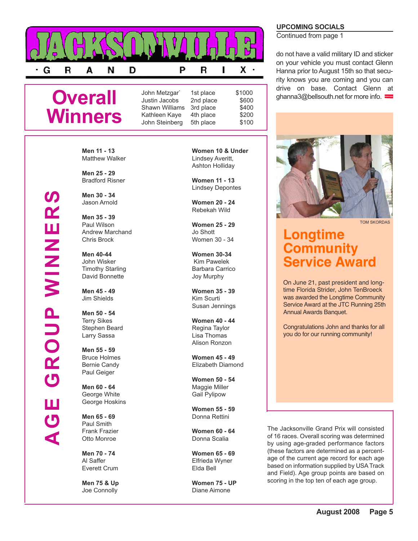

### **Overall Winners**

**Men 11 - 13** Matthew Walker

**Men 25 - 29** Bradford Risner

**Men 30 - 34** Jason Arnold

**Men 35 - 39** Paul Wilson Andrew Marchand Chris Brock

**Men 40-44** John Wisker Timothy Starling David Bonnette

**Men 45 - 49** Jim Shields

**Men 50 - 54** Terry Sikes Stephen Beard Larry Sassa

**Men 55 - 59** Bruce Holmes Bernie Candy Paul Geiger

**Men 60 - 64** George White George Hoskins

**Men 65 - 69** Paul Smith Frank Frazier Otto Monroe

**Men 70 - 74** Al Saffer Everett Crum

**Men 75 & Up** Joe Connolly

**Women 10 & Under** Lindsey Averitt, Ashton Holliday

**Women 11 - 13** Lindsey Depontes

**Women 20 - 24** Rebekah Wild

**Women 25 - 29** Jo Shott Women 30 - 34

**Women 30-34** Kim Pawelek Barbara Carrico Joy Murphy

**Women 35 - 39** Kim Scurti Susan Jennings

**Women 40 - 44** Regina Taylor Lisa Thomas Alison Ronzon

**Women 45 - 49** Elizabeth Diamond

**Women 50 - 54** Maggie Miller Gail Pylipow

**Women 55 - 59** Donna Rettini

**Women 60 - 64** Donna Scalia

**Women 65 - 69** Elfrieda Wyner Elda Bell

**Women 75 - UP** Diane Aimone

#### **UPCOMING SOCIALS**

Continued from page 1

do not have a valid military ID and sticker on your vehicle you must contact Glenn Hanna prior to August 15th so that security knows you are coming and you can drive on base. Contact Glenn at ghanna3@bellsouth.net for more info.



TOM SKORDAS

### **Longtime Community ervice Award**

On June 21, past president and longtime Florida Strider, John TenBroeck was awarded the Longtime Community Service Award at the JTC Running 25th Annual Awards Banquet.

Congratulations John and thanks for all you do for our running community!

The Jacksonville Grand Prix will consisted of 16 races. Overall scoring was determined by using age-graded performance factors (these factors are determined as a percentage of the current age record for each age based on information supplied by USA Track and Field). Age group points are based on scoring in the top ten of each age group.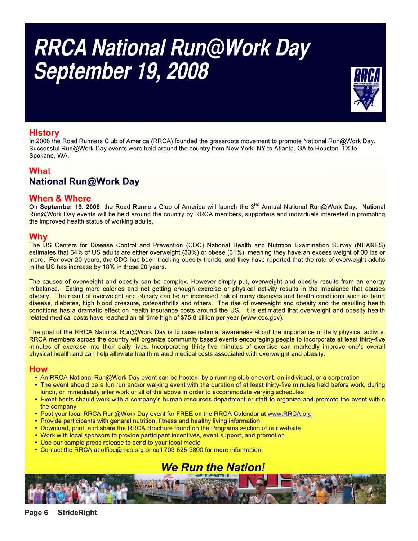# RRCA National Run@Work Day<br>September 19, 2008



#### **History**

In 2006 the Road Runners Club of America (RRCA) founded the grassroots movement to promote National Run@Work Day. Successful Run@Work Day events were held around the country from New York, NY to Atlanta, GA to Houston, TX to Spokane, WA.

### **What National Run@Work Day**

#### **When & Where**

On September 19, 2008, the Road Runners Club of America will launch the 3<sup>Rd</sup> Annual National Run@Work Day. National Run@Work Day events will be held around the country by RRCA members, supporters and individuals interested in promoting the improved health status of working adults.

#### Why

The US Centers for Disease Control and Prevention (CDC) National Health and Nutrition Examination Survey (NHANES) estimates that 64% of US adults are either overweight (33%) or obese (31%), meaning they have an excess weight of 30 lbs or more. For over 20 years, the CDC has been tracking obesity trends, and they have reported that the rate of overweight adults in the US has increase by 18% in those 20 years.

The causes of overweight and obesity can be complex. However simply put, overweight and obesity results from an energy imbalance. Eating more calories and not getting enough exercise or physical activity results in the imbalance that causes obesity. The result of overweight and obesity can be an increased risk of many diseases and health conditions such as heart disease, diabetes, high blood pressure, osteoarthritis and others. The rise of overweight and obesity and the resulting health conditions has a dramatic effect on health insurance costs around the US. It is estimated that overweight and obesity health related medical costs have reached an all time high of \$75.8 billion per year (www.cdc.gov).

The goal of the RRCA National Run@Work Day is to raise national awareness about the importance of daily physical activity. RRCA members across the country will organize community based events encouraging people to incorporate at least thirty-five minutes of exercise into their daily lives. Incorporating thirty-five minutes of exercise can markedly improve one's overall physical health and can help alleviate health related medical costs associated with overweight and obesity.

#### How

- An RRCA National Run@Work Day event can be hosted by a running club or event, an individual, or a corporation
- . The event should be a fun run and/or walking event with the duration of at least thirty-five minutes held before work, during lunch, or immediately after work or all of the above in order to accommodate varying schedules
- . Event hosts should work with a company's human resources department or staff to organize and promote the event within the company
- . Post your local RRCA Run@Work Day event for FREE on the RRCA Calendar at www.RRCA.org
- Provide participants with general nutrition, fitness and healthy living information
- Download, print, and share the RRCA Brochure found on the Programs section of our website
- . Work with local sponsors to provide participant incentives, event support, and promotion
- Use our sample press release to send to your local media
- Contact the RRCA at office@rrca.org or call 703-525-3890 for more information.

### **We Run the Nation!**

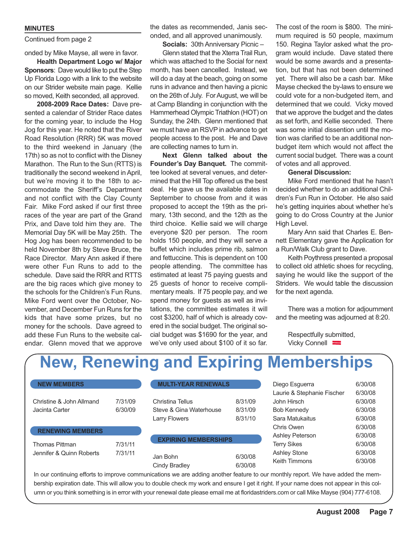#### **MINUTES**

#### Continued from page 2

#### onded by Mike Mayse, all were in favor.

**Health Department Logo w/ Major Sponsors**: Dave would like to put the Step Up Florida Logo with a link to the website on our Strider website main page. Kellie so moved, Keith seconded, all approved.

**2008-2009 Race Dates:** Dave presented a calendar of Strider Race dates for the coming year, to include the Hog Jog for this year. He noted that the River Road Resolution (RRR) 5K was moved to the third weekend in January (the 17th) so as not to conflict with the Disney Marathon. The Run to the Sun (RTTS) is traditionally the second weekend in April, but we're moving it to the 18th to accommodate the Sheriff's Department and not conflict with the Clay County Fair. Mike Ford asked if our first three races of the year are part of the Grand Prix, and Dave told him they are. The Memorial Day 5K will be May 25th. The Hog Jog has been recommended to be held November 8th by Steve Bruce, the Race Director. Mary Ann asked if there were other Fun Runs to add to the schedule. Dave said the RRR and RTTS are the big races which give money to the schools for the Children's Fun Runs. Mike Ford went over the October, November, and December Fun Runs for the kids that have some prizes, but no money for the schools. Dave agreed to add these Fun Runs to the website calendar. Glenn moved that we approve

the dates as recommended, Janis seconded, and all approved unanimously.

#### **Socials:** 30th Anniversary Picnic –

Glenn stated that the Xterra Trail Run, which was attached to the Social for next month, has been cancelled. Instead, we will do a day at the beach, going on some runs in advance and then having a picnic on the 26th of July. ForAugust, we will be at Camp Blanding in conjunction with the Hammerhead Olympic Triathlon (HOT) on Sunday, the 24th. Glenn mentioned that we must have an RSVP in advance to get people access to the post. He and Dave are collecting names to turn in.

**Next Glenn talked about the Founder's Day Banquet.** The committee looked at several venues, and determined that the Hill Top offered us the best deal. He gave us the available dates in September to choose from and it was proposed to accept the 19th as the primary, 13th second, and the 12th as the third choice. Kellie said we will charge everyone \$20 per person. The room holds 150 people, and they will serve a buffet which includes prime rib, salmon and fettuccine. This is dependent on 100 people attending. The committee has estimated at least 75 paying guests and 25 guests of honor to receive complimentary meals. If 75 people pay, and we spend money for guests as well as invitations, the committee estimates it will cost \$3200, half of which is already covered in the social budget. The original social budget was \$1690 for the year, and we've only used about \$100 of it so far. The cost of the room is \$800. The minimum required is 50 people, maximum 150. Regina Taylor asked what the program would include. Dave stated there would be some awards and a presentation, but that has not been determined yet. There will also be a cash bar. Mike Mayse checked the by-laws to ensure we could vote for a non-budgeted item, and determined that we could. Vicky moved that we approve the budget and the dates as set forth, and Kellie seconded. There was some initial dissention until the motion was clarified to be an additional nonbudget item which would not affect the current social budget. There was a count of votes and all approved.

#### **General Discussion:**

Mike Ford mentioned that he hasn't decided whether to do an additional Children's Fun Run in October. He also said he's getting inquiries about whether he's going to do Cross Country at the Junior High Level.

Mary Ann said that Charles E. Bennett Elementary gave the Application for a Run/Walk Club grant to Dave.

Keith Poythress presented a proposal to collect old athletic shoes for recycling, saying he would like the support of the Striders. We would table the discussion for the next agenda.

There was a motion for adjournment and the meeting was adjourned at 8:20.

Respectfully submitted, Vicky Connell

### **New, Renewing and Expiring Memberships**

| <b>NEW MEMBERS</b>       |         | <b>MULTI-YEAR RENEWALS</b>  |                    | Diego Esguerra             | 6/30/08 |
|--------------------------|---------|-----------------------------|--------------------|----------------------------|---------|
|                          |         |                             |                    | Laurie & Stephanie Fischer | 6/30/08 |
| Christine & John Allmand | 7/31/09 | Christina Tellus            | 8/31/09            | John Hirsch                | 6/30/08 |
| Jacinta Carter           | 6/30/09 | Steve & Gina Waterhouse     | 8/31/09            | Bob Kennedy                | 6/30/08 |
|                          |         | <b>Larry Flowers</b>        | 8/31/10            | Sara Matukaitus            | 6/30/08 |
|                          |         |                             |                    | Chris Owen                 | 6/30/08 |
| <b>RENEWING MEMBERS</b>  |         |                             |                    | Ashley Peterson            | 6/30/08 |
| Thomas Pittman           | 7/31/11 | <b>EXPIRING MEMBERSHIPS</b> |                    | <b>Terry Sikes</b>         | 6/30/08 |
| Jennifer & Quinn Roberts | 7/31/11 |                             |                    | <b>Ashley Stone</b>        | 6/30/08 |
|                          |         | Jan Bohn<br>Cindy Bradley   | 6/30/08<br>6/30/08 | <b>Keith Timmons</b>       | 6/30/08 |

In our continuing efforts to improve communications we are adding another feature to our monthly report. We have added the membership expiration date. This will allow you to double check my work and ensure I get it right. If your name does not appear in this column or you think something is in error with your renewal date please email me at floridastriders.com or call Mike Mayse (904) 777-6108.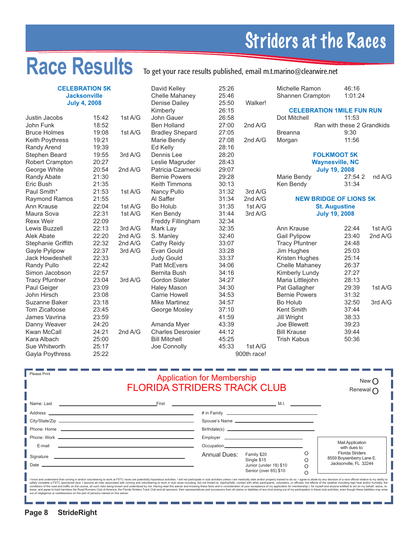# Striders at the Races

# Race Results To get your race results published, email m.t.marino@clearwire.net

|                        | <b>CELEBRATION 5K</b><br><b>Jacksonville</b><br><b>July 4, 2008</b> |         | David Kelley<br>Chelle Mahaney<br>Denise Dailey | 25:26<br>25:46<br>25:50 | Walker!     | Michelle Ramon<br><b>Shannen Crampton</b> | 46:16<br>1:01:24           |         |
|------------------------|---------------------------------------------------------------------|---------|-------------------------------------------------|-------------------------|-------------|-------------------------------------------|----------------------------|---------|
|                        |                                                                     |         | Kimberly                                        | 26:15                   |             | <b>CELEBRATION 1MILE FUN RUN</b>          |                            |         |
| Justin Jacobs          | 15:42                                                               | 1st A/G | John Gauer                                      | 26:58                   |             | Dot Mitchell                              | 11:53                      |         |
| John Funk              | 18:52                                                               |         | <b>Ben Holland</b>                              | 27:00                   | 2nd A/G     |                                           | Ran with these 2 Grandkids |         |
| <b>Bruce Holmes</b>    | 19:08                                                               | 1st A/G |                                                 | 27:05                   |             | <b>Breanna</b>                            | 9:30                       |         |
|                        | 19:21                                                               |         | <b>Bradley Shepard</b>                          |                         |             |                                           | 11:56                      |         |
| Keith Poythress        |                                                                     |         | Marie Bendy                                     | 27:08                   | 2nd A/G     | Morgan                                    |                            |         |
| Randy Arend            | 19:39                                                               |         | Ed Kelly                                        | 28:16                   |             |                                           |                            |         |
| Stephen Beard          | 19:55                                                               | 3rd A/G | Dennis Lee                                      | 28:20                   |             |                                           | <b>FOLKMOOT 5K</b>         |         |
| <b>Robert Crampton</b> | 20:27                                                               |         | Leslie Magruder                                 | 28:43                   |             |                                           | <b>Waynesville, NC</b>     |         |
| George White           | 20:54                                                               | 2nd A/G | Patricia Czarnecki                              | 29:07                   |             |                                           | <b>July 19, 2008</b>       |         |
| Randy Abate            | 21:30                                                               |         | <b>Bernie Powers</b>                            | 29:28                   |             | Marie Bendy                               | 27:54 2                    | nd A/G  |
| Eric Bush              | 21:35                                                               |         | <b>Keith Timmons</b>                            | 30:13                   |             | Ken Bendy                                 | 31:34                      |         |
| Paul Smith*            | 21:53                                                               | 1st A/G | Nancy Pullo                                     | 31:32                   | 3rd A/G     |                                           |                            |         |
| <b>Raymond Ramos</b>   | 21:55                                                               |         | Al Saffer                                       | 31:34                   | 2nd A/G     | <b>NEW BRIDGE OF LIONS 5K</b>             |                            |         |
| Ann Krause             | 22:04                                                               | 1st A/G | Bo Holub                                        | 31:35                   | 1st A/G     |                                           | <b>St. Augustine</b>       |         |
| Maura Sova             | 22:31                                                               | 1st A/G | Ken Bendy                                       | 31:44                   | 3rd A/G     |                                           | <b>July 19, 2008</b>       |         |
| <b>Rexx Weir</b>       | 22:09                                                               |         | Freddy Fillingham                               | 32:34                   |             |                                           |                            |         |
| Lewis Buzzell          | 22:13                                                               | 3rd A/G | Mark Lay                                        | 32:35                   |             | Ann Krause                                | 22:44                      | 1st A/G |
| Alek Abate             | 22:20                                                               | 2nd A/G | S. Manley                                       | 32:40                   |             | <b>Gail Pylipow</b>                       | 23:40                      | 2nd A/G |
| Stephanie Griffith     | 22:32                                                               | 2nd A/G | Cathy Reidy                                     | 33:07                   |             | <b>Tracy Pfuntner</b>                     | 24:48                      |         |
| Gayle Pylipow          | 22:37                                                               | 3rd A/G | Evan Gould                                      | 33:28                   |             | Jim Hughes                                | 25:03                      |         |
| <b>Jack Howdeshell</b> | 22:33                                                               |         | <b>Judy Gould</b>                               | 33:37                   |             | Kristen Hughes                            | 25:14                      |         |
| Randy Pullo            | 22:42                                                               |         | <b>Patt McEvers</b>                             | 34:06                   |             | Chelle Mahaney                            | 26:37                      |         |
| Simon Jacobson         | 22:57                                                               |         | Bernita Bush                                    | 34:16                   |             | Kimberly Lundy                            | 27:27                      |         |
| <b>Tracy Pfuntner</b>  | 23:04                                                               | 3rd A/G | <b>Gordon Slater</b>                            | 34:27                   |             | Maria Littlejohn                          | 28:13                      |         |
| Paul Geiger            | 23:09                                                               |         | <b>Haley Mason</b>                              | 34:30                   |             | Pat Gallagher                             | 29:39                      | 1st A/G |
| John Hirsch            | 23:08                                                               |         | <b>Carrie Howell</b>                            | 34:53                   |             | <b>Bernie Powers</b>                      | 31:32                      |         |
| Suzanne Baker          | 23:18                                                               |         | <b>Mike Martinez</b>                            | 34:57                   |             | <b>Bo Holub</b>                           | 32:50                      | 3rd A/G |
| Tom Zicafoose          | 23:45                                                               |         | George Mosley                                   | 37:10                   |             | Kent Smith                                | 37:44                      |         |
| James Vavrina          | 23:59                                                               |         |                                                 | 41:59                   |             | Jill Wright                               | 38:33                      |         |
| Danny Weaver           | 24:20                                                               |         | Amanda Myer                                     | 43:39                   |             | Joe Blewett                               | 39:23                      |         |
| Kwan McCall            | 24:21                                                               | 2nd A/G | <b>Charles Desrosier</b>                        | 44:12                   |             | <b>Bill Krause</b>                        | 39:44                      |         |
| Kara Albach            | 25:00                                                               |         | <b>Bill Mitchell</b>                            | 45:25                   |             | <b>Trish Kabus</b>                        | 50:36                      |         |
| Sue Whitworth          | 25:17                                                               |         | Joe Connolly                                    | 45:33                   | 1st $A/G$   |                                           |                            |         |
|                        | 25:22                                                               |         |                                                 |                         | 900th race! |                                           |                            |         |
| Gayla Poythress        |                                                                     |         |                                                 |                         |             |                                           |                            |         |

| <b>Please Print</b> | <b>Application for Membership</b><br><b>FLORIDA STRIDERS TRACK CLUB</b>                                                                                                                                                                                                                                                                                                                                                                                                                                                                                                                                                                                                                                                                                                                                                                                                                                                                                                                                                | New $\bigcap$<br>Renewal $\Gamma$ |                                                                               |  |                                                                               |
|---------------------|------------------------------------------------------------------------------------------------------------------------------------------------------------------------------------------------------------------------------------------------------------------------------------------------------------------------------------------------------------------------------------------------------------------------------------------------------------------------------------------------------------------------------------------------------------------------------------------------------------------------------------------------------------------------------------------------------------------------------------------------------------------------------------------------------------------------------------------------------------------------------------------------------------------------------------------------------------------------------------------------------------------------|-----------------------------------|-------------------------------------------------------------------------------|--|-------------------------------------------------------------------------------|
|                     | Name: Last the contract of the contract of the contract of the contract of the contract of the contract of the                                                                                                                                                                                                                                                                                                                                                                                                                                                                                                                                                                                                                                                                                                                                                                                                                                                                                                         |                                   |                                                                               |  |                                                                               |
|                     |                                                                                                                                                                                                                                                                                                                                                                                                                                                                                                                                                                                                                                                                                                                                                                                                                                                                                                                                                                                                                        |                                   |                                                                               |  |                                                                               |
|                     |                                                                                                                                                                                                                                                                                                                                                                                                                                                                                                                                                                                                                                                                                                                                                                                                                                                                                                                                                                                                                        |                                   |                                                                               |  |                                                                               |
|                     |                                                                                                                                                                                                                                                                                                                                                                                                                                                                                                                                                                                                                                                                                                                                                                                                                                                                                                                                                                                                                        |                                   | Birthdate(s)                                                                  |  |                                                                               |
|                     |                                                                                                                                                                                                                                                                                                                                                                                                                                                                                                                                                                                                                                                                                                                                                                                                                                                                                                                                                                                                                        |                                   |                                                                               |  |                                                                               |
| E-mail              |                                                                                                                                                                                                                                                                                                                                                                                                                                                                                                                                                                                                                                                                                                                                                                                                                                                                                                                                                                                                                        |                                   |                                                                               |  | <b>Mail Application</b><br>with dues to:                                      |
| Signature<br>Date   | <u> 1989 - Johann Stoff, amerikansk politiker (d. 1989)</u>                                                                                                                                                                                                                                                                                                                                                                                                                                                                                                                                                                                                                                                                                                                                                                                                                                                                                                                                                            | Annual Dues:                      | Family \$20<br>Single \$15<br>Junior (under 18) \$10<br>Senior (over 65) \$10 |  | <b>Florida Striders</b><br>8559 Boysenberry Lane E.<br>Jacksonville, FL 32244 |
|                     | I know and understand that running in and/or volunteering to work at FSTC races are potentially hazardous activities. I will not participate in club activities unless I am medically able and/or properly trained to do so. I<br>safely complete a FSTC sponsored race. I assume all risks associated with running and volunteering to work in club races including, but not limited to, slip/trip/falls, contact with other participants, volunteers, or offic<br>conditions of the road and traffic on the course, all such risks being known and understood by me. Having read this waiver and knowing these facts and in consideration of your acceptance of my application for membership I,<br>lease, and agree to hold harmless the Road Runners Club of America, the Florida Striders Track Club and all sponsors, their representatives and successors from all claims or liabilities of any kind arising out of my partic<br>out of negligence or carelessness on the part of persons named on this waiver. |                                   |                                                                               |  |                                                                               |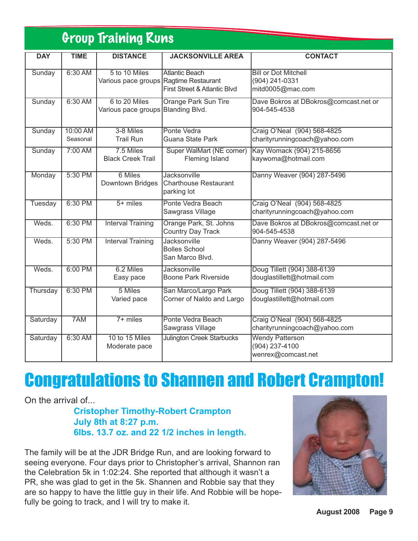### Group Training Runs

| <b>DAY</b>     | <b>TIME</b>          | <b>DISTANCE</b>                                         | <b>JACKSONVILLE AREA</b>                                           | <b>CONTACT</b>                                                    |
|----------------|----------------------|---------------------------------------------------------|--------------------------------------------------------------------|-------------------------------------------------------------------|
|                |                      |                                                         |                                                                    |                                                                   |
| Sunday         | 6:30 AM              | 5 to 10 Miles<br>Various pace groups Ragtime Restaurant | <b>Atlantic Beach</b><br>First Street & Atlantic Blvd              | <b>Bill or Dot Mitchell</b><br>(904) 241-0331<br>mitd0005@mac.com |
| Sunday         | 6:30 AM              | 6 to 20 Miles<br>Various pace groups Blanding Blvd.     | <b>Orange Park Sun Tire</b>                                        | Dave Bokros at DBokros@comcast.net or<br>904-545-4538             |
| Sunday         | 10:00 AM<br>Seasonal | 3-8 Miles<br><b>Trail Run</b>                           | Ponte Vedra<br>Guana State Park                                    | Craig O'Neal (904) 568-4825<br>charityrunningcoach@yahoo.com      |
| Sunday         | 7:00 AM              | 7.5 Miles<br><b>Black Creek Trail</b>                   | <b>Super WalMart (NE corner)</b><br><b>Fleming Island</b>          | Kay Womack (904) 215-8656<br>kaywoma@hotmail.com                  |
| Monday         | 5:30 PM              | 6 Miles<br>Downtown Bridges                             | <b>Jacksonville</b><br><b>Charthouse Restaurant</b><br>parking lot | Danny Weaver (904) 287-5496                                       |
| <b>Tuesday</b> | 6:30 PM              | $5+$ miles                                              | Ponte Vedra Beach<br>Sawgrass Village                              | Craig O'Neal (904) 568-4825<br>charityrunningcoach@yahoo.com      |
| Weds.          | 6:30 PM              | <b>Interval Training</b>                                | Orange Park, St. Johns<br><b>Country Day Track</b>                 | Dave Bokros at DBokros@comcast.net or<br>904-545-4538             |
| Weds.          | 5:30 PM              | <b>Interval Training</b>                                | <b>Jacksonville</b><br><b>Bolles School</b><br>San Marco Blvd.     | Danny Weaver (904) 287-5496                                       |
| Weds.          | 6:00 PM              | 6.2 Miles<br>Easy pace                                  | <b>Jacksonville</b><br><b>Boone Park Riverside</b>                 | Doug Tillett (904) 388-6139<br>douglastillett@hotmail.com         |
| Thursday       | 6:30 PM              | 5 Miles<br>Varied pace                                  | San Marco/Largo Park<br>Corner of Naldo and Largo                  | Doug Tillett (904) 388-6139<br>douglastillett@hotmail.com         |
| Saturday       | 7AM                  | $7+$ miles                                              | Ponte Vedra Beach<br>Sawgrass Village                              | Craig O'Neal (904) 568-4825<br>charityrunningcoach@yahoo.com      |
| Saturday       | 6:30 AM              | 10 to 15 Miles<br>Moderate pace                         | <b>Julington Creek Starbucks</b>                                   | <b>Wendy Patterson</b><br>(904) 237-4100<br>wenrex@comcast.net    |

# Congratulations to Shannen and Robert Crampton!

On the arrival of...

**Cristopher Timothy-Robert Crampton July 8th at 8:27 p.m. 6lbs. 13.7 oz. and 22 1/2 inches in length.**

The family will be at the JDR Bridge Run, and are looking forward to seeing everyone. Four days prior to Christopher's arrival, Shannon ran the Celebration 5k in 1:02:24. She reported that although it wasn't a PR, she was glad to get in the 5k. Shannen and Robbie say that they are so happy to have the little guy in their life. And Robbie will be hopefully be going to track, and I will try to make it.

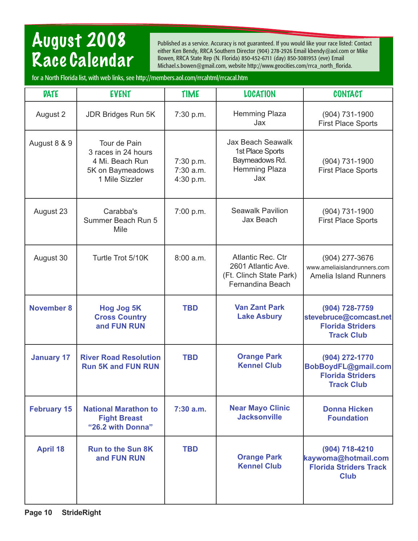## August 2008 Race Calendar

Published as a service. Accuracy is not guaranteed. If you would like your race listed: Contact either Ken Bendy, RRCA Southern Director (904) 278-2926 Email kbendy@aol.com or Mike Bowen, RRCA State Rep (N. Florida) 850-452-6711 (day) 850-3081953 (eve) Email Michael.s.bowen@gmail.com, website http://www.geocities.com/rrca\_north\_florida.

for a North Florida list, with web links, see http://members.aol.com/rrcahtml/rrcacal.htm

| <b>DATE</b>        | <b>EVENT</b>                                                                                 | <b>TIME</b>                           | <b>LOCATION</b>                                                                        | <b>CONTACT</b>                                                                           |
|--------------------|----------------------------------------------------------------------------------------------|---------------------------------------|----------------------------------------------------------------------------------------|------------------------------------------------------------------------------------------|
| August 2           | <b>JDR Bridges Run 5K</b>                                                                    | 7:30 p.m.                             | <b>Hemming Plaza</b><br>Jax                                                            | (904) 731-1900<br><b>First Place Sports</b>                                              |
| August 8 & 9       | Tour de Pain<br>3 races in 24 hours<br>4 Mi. Beach Run<br>5K on Baymeadows<br>1 Mile Sizzler | 7:30 p.m.<br>$7:30$ a.m.<br>4:30 p.m. | <b>Jax Beach Seawalk</b><br>1st Place Sports<br>Baymeadows Rd.<br>Hemming Plaza<br>Jax | (904) 731-1900<br><b>First Place Sports</b>                                              |
| August 23          | Carabba's<br>Summer Beach Run 5<br>Mile                                                      | 7:00 p.m.                             | <b>Seawalk Pavilion</b><br>Jax Beach                                                   | (904) 731-1900<br><b>First Place Sports</b>                                              |
| August 30          | Turtle Trot 5/10K                                                                            | 8:00 a.m.                             | Atlantic Rec. Ctr<br>2601 Atlantic Ave.<br>(Ft. Clinch State Park)<br>Fernandina Beach | (904) 277-3676<br>www.ameliaislandrunners.com<br><b>Amelia Island Runners</b>            |
| <b>November 8</b>  | <b>Hog Jog 5K</b><br><b>Cross Country</b><br>and FUN RUN                                     | <b>TBD</b>                            | <b>Van Zant Park</b><br><b>Lake Asbury</b>                                             | (904) 728-7759<br>stevebruce@comcast.net<br><b>Florida Striders</b><br><b>Track Club</b> |
| <b>January 17</b>  | <b>River Road Resolution</b><br><b>Run 5K and FUN RUN</b>                                    | <b>TBD</b>                            | <b>Orange Park</b><br><b>Kennel Club</b>                                               | (904) 272-1770<br>BobBoydFL@gmail.com<br><b>Florida Striders</b><br><b>Track Club</b>    |
| <b>February 15</b> | <b>National Marathon to</b><br><b>Fight Breast</b><br>"26.2 with Donna"                      | 7:30 a.m.                             | <b>Near Mayo Clinic</b><br><b>Jacksonville</b>                                         | <b>Donna Hicken</b><br><b>Foundation</b>                                                 |
| <b>April 18</b>    | <b>Run to the Sun 8K</b><br>and FUN RUN                                                      | <b>TBD</b>                            | <b>Orange Park</b><br><b>Kennel Club</b>                                               | (904) 718-4210<br>kaywoma@hotmail.com<br><b>Florida Striders Track</b><br><b>Club</b>    |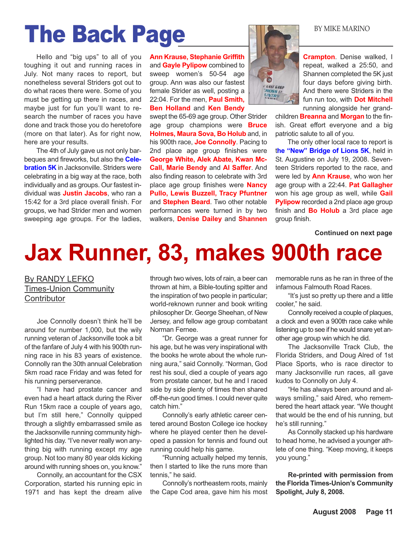# The Back Page BY MIKE MARINO

Hello and "big ups" to all of you toughing it out and running races in July. Not many races to report, but nonetheless several Striders got out to do what races there were. Some of you must be getting up there in races, and maybe just for fun you'll want to research the number of races you have done and track those you do heretofore (more on that later). As for right now, here are your results.

The 4th of July gave us not only barbeques and fireworks, but also the **Celebration 5K** in Jacksonville. Striders were celebrating in a big way at the race, both individually and as groups. Our fastest individual was **Justin Jacobs**, who ran a 15:42 for a 3rd place overall finish. For groups, we had Strider men and women sweeping age groups. For the ladies, **Ann Krause, Stephanie Griffith** and **Gayle Pylipow** combined to sweep women's 50-54 age group. Ann was also our fastest female Strider as well, posting a 22:04. For the men, **Paul Smith, Ben Holland** and **Ken Bendy**

swept the 65-69 age group. Other Strider age group champions were **Bruce Holmes, Maura Sova, Bo Holub** and, in his 900th race, **Joe Connolly**. Pacing to 2nd place age group finishes were **George White, Alek Abate, Kwan Mc-Call, Marie Bendy** and **Al Saffer**. And also finding reason to celebrate with 3rd place age group finishes were **Nancy Pullo, Lewis Buzzell, Tracy Pfuntner** and **Stephen Beard**. Two other notable performances were turned in by two walkers, **Denise Dailey** and **Shannen**



**Crampton**. Denise walked, I repeat, walked a 25:50, and Shannen completed the 5K just four days before giving birth. And there were Striders in the fun run too, with **Dot Mitchell** running alongside her grand-

children **Breanna** and **Morgan** to the finish. Great effort everyone and a big patriotic salute to all of you.

The only other local race to report is t**he "New" Bridge of Lions 5K**, held in St. Augustine on July 19, 2008. Seventeen Striders reported to the race, and were led by **Ann Krause**, who won her age group with a 22:44. **Pat Gallagher** won his age group as well, while **Gail Pylipow** recorded a 2nd place age group finish and **Bo Holub** a 3rd place age group finish.

**Continued on next page**

# **Jax Runner, 83, makes 900th race**

By RANDY LEFKO Times-Union Community **Contributor** 

Joe Connolly doesn't think he'll be around for number 1,000, but the wily running veteran of Jacksonville took a bit of the fanfare of July 4 with his 900th running race in his 83 years of existence. Connolly ran the 30th annual Celebration 5km road race Friday and was feted for his running perserverance.

"I have had prostate cancer and even had a heart attack during the River Run 15km race a couple of years ago, but I'm still here," Connolly quipped through a slightly embarrassed smile as the Jacksonville running community highlighted his day. "I've never really won anything big with running except my age group. Not too many 80 year olds kicking around with running shoes on, you know."

Connolly, an accountant for the CSX Corporation, started his running epic in 1971 and has kept the dream alive

through two wives, lots of rain, a beer can thrown at him, a Bible-touting spitter and the inspiration of two people in particular; world-reknown runner and book writing philosopher Dr. George Sheehan, of New Jersey, and fellow age group combatant Norman Fernee.

"Dr. George was a great runner for his age, but he was very inspirational with the books he wrote about the whole running aura," said Connolly. "Norman, God rest his soul, died a couple of years ago from prostate cancer, but he and I raced side by side plenty of times then shared off-the-run good times. I could never quite catch him."

Connolly's early athletic career centered around Boston College ice hockey where he played center then he developed a passion for tennis and found out running could help his game.

"Running actually helped my tennis, then I started to like the runs more than tennis," he said.

Connolly's northeastern roots, mainly the Cape Cod area, gave him his most memorable runs as he ran in three of the infamous Falmouth Road Races.

"It's just so pretty up there and a little cooler," he said.

Connolly received a couple of plaques, a clock and even a 900th race cake while listening up to see if he would snare yet another age group win which he did.

The Jacksonville Track Club, the Florida Striders, and Doug Alred of 1st Place Sports, who is race director to many Jacksonville run races, all gave kudos to Connolly on July 4.

"He has always been around and always smiling," said Alred, who remembered the heart attack year. "We thought that would be the end of his running, but he's still running."

As Connolly stacked up his hardware to head home, he advised a younger athlete of one thing. "Keep moving, it keeps you young."

**Re-printed with permission from the Florida Times-Union's Community Spolight, July 8, 2008.**